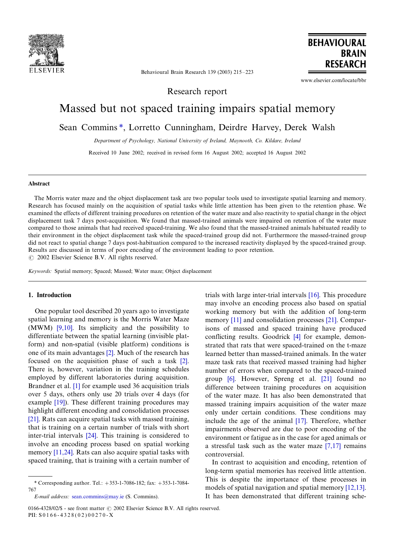

Behavioural Brain Research 139 (2003) 215-223

www.elsevier.com/locate/bbr

**BEHAVIOURAL** 

**BRAIN RESEARCH** 

Research report

# Massed but not spaced training impairs spatial memory

Sean Commins \*, Lorretto Cunningham, Deirdre Harvey, Derek Walsh

Department of Psychology, National University of Ireland, Maynooth, Co. Kildare, Ireland

Received 10 June 2002; received in revised form 16 August 2002; accepted 16 August 2002

# Abstract

The Morris water maze and the object displacement task are two popular tools used to investigate spatial learning and memory. Research has focused mainly on the acquisition of spatial tasks while little attention has been given to the retention phase. We examined the effects of different training procedures on retention of the water maze and also reactivity to spatial change in the object displacement task 7 days post-acquisition. We found that massed-trained animals were impaired on retention of the water maze compared to those animals that had received spaced-training. We also found that the massed-trained animals habituated readily to their environment in the object displacement task while the spaced-trained group did not. Furthermore the massed-trained group did not react to spatial change 7 days post-habituation compared to the increased reactivity displayed by the spaced-trained group. Results are discussed in terms of poor encoding of the environment leading to poor retention.

 $\odot$  2002 Elsevier Science B.V. All rights reserved.

Keywords: Spatial memory; Spaced; Massed; Water maze; Object displacement

# 1. Introduction

One popular tool described 20 years ago to investigate spatial learning and memory is the Morris Water Maze (MWM) [\[9,10\]](#page-8-0). Its simplicity and the possibility to differentiate between the spatial learning (invisible platform) and non-spatial (visible platform) conditions is one of its main advantages [\[2\]](#page-8-0). Much of the research has focused on the acquisition phase of such a task [\[2\]](#page-8-0). There is, however, variation in the training schedules employed by different laboratories during acquisition. Brandner et al. [\[1\]](#page-8-0) for example used 36 acquisition trials over 5 days, others only use 20 trials over 4 days (for example [\[19\]](#page-8-0)). These different training procedures may highlight different encoding and consolidation processes [\[21\]](#page-8-0). Rats can acquire spatial tasks with massed training, that is training on a certain number of trials with short inter-trial intervals [\[24\].](#page-8-0) This training is considered to involve an encoding process based on spatial working memory [\[11,24\].](#page-8-0) Rats can also acquire spatial tasks with spaced training, that is training with a certain number of

trials with large inter-trial intervals [\[16\].](#page-8-0) This procedure may involve an encoding process also based on spatial working memory but with the addition of long-term memory [\[11\]](#page-8-0) and consolidation processes [\[21\].](#page-8-0) Comparisons of massed and spaced training have produced conflicting results. Goodrick [\[4\]](#page-8-0) for example, demonstrated that rats that were spaced-trained on the t-maze learned better than massed-trained animals. In the water maze task rats that received massed training had higher number of errors when compared to the spaced-trained group [\[6\]](#page-8-0). However, Spreng et al. [\[21\]](#page-8-0) found no difference between training procedures on acquisition of the water maze. It has also been demonstrated that massed training impairs acquisition of the water maze only under certain conditions. These conditions may include the age of the animal [\[17\]](#page-8-0). Therefore, whether impairments observed are due to poor encoding of the environment or fatigue as in the case for aged animals or a stressful task such as the water maze [\[7,17\]](#page-8-0) remains controversial.

In contrast to acquisition and encoding, retention of long-term spatial memories has received little attention. This is despite the importance of these processes in models of spatial navigation and spatial memory [\[12,13\]](#page-8-0). It has been demonstrated that different training sche-

<sup>\*</sup> Corresponding author. Tel.:  $+353-1-7086-182$ ; fax:  $+353-1-7084-$ 767

E-mail address: [sean.commins@may.ie](mailto:sean.commins@may.ie) (S. Commins).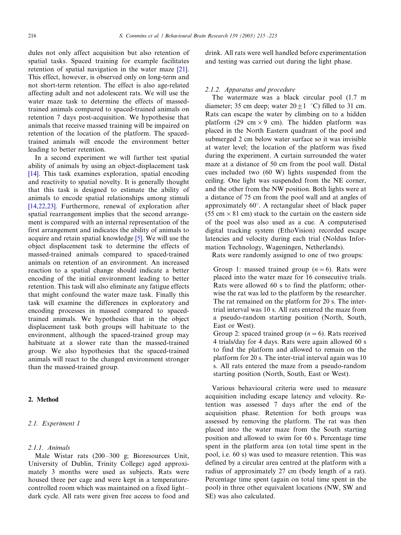dules not only affect acquisition but also retention of spatial tasks. Spaced training for example facilitates retention of spatial navigation in the water maze [\[21\]](#page-8-0). This effect, however, is observed only on long-term and not short-term retention. The effect is also age-related affecting adult and not adolescent rats. We will use the water maze task to determine the effects of massedtrained animals compared to spaced-trained animals on retention 7 days post-acquisition. We hypothesise that animals that receive massed training will be impaired on retention of the location of the platform. The spacedtrained animals will encode the environment better leading to better retention.

In a second experiment we will further test spatial ability of animals by using an object-displacement task [\[14\]](#page-8-0). This task examines exploration, spatial encoding and reactivity to spatial novelty. It is generally thought that this task is designed to estimate the ability of animals to encode spatial relationships among stimuli [\[14,22,23\].](#page-8-0) Furthermore, renewal of exploration after spatial rearrangement implies that the second arrangement is compared with an internal representation of the first arrangement and indicates the ability of animals to acquire and retain spatial knowledge [\[5\]](#page-8-0). We will use the object displacement task to determine the effects of massed-trained animals compared to spaced-trained animals on retention of an environment. An increased reaction to a spatial change should indicate a better encoding of the initial environment leading to better retention. This task will also eliminate any fatigue effects that might confound the water maze task. Finally this task will examine the differences in exploratory and encoding processes in massed compared to spacedtrained animals. We hypothesies that in the object displacement task both groups will habituate to the environment, although the spaced-trained group may habituate at a slower rate than the massed-trained group. We also hypothesies that the spaced-trained animals will react to the changed environment stronger than the massed-trained group.

# 2. Method

# 2.1. Experiment 1

# 2.1.1. Animals

Male Wistar rats (200–300 g; Bioresources Unit, University of Dublin, Trinity College) aged approximately 3 months were used as subjects. Rats were housed three per cage and were kept in a temperaturecontrolled room which was maintained on a fixed light-/ dark cycle. All rats were given free access to food and drink. All rats were well handled before experimentation and testing was carried out during the light phase.

# 2.1.2. Apparatus and procedure

The watermaze was a black circular pool (1.7 m diameter; 35 cm deep; water  $20 \pm 1$  °C) filled to 31 cm. Rats can escape the water by climbing on to a hidden platform (29 cm  $\times$  9 cm). The hidden platform was placed in the North Eastern quadrant of the pool and submerged 2 cm below water surface so it was invisible at water level; the location of the platform was fixed during the experiment. A curtain surrounded the water maze at a distance of 50 cm from the pool wall. Distal cues included two (60 W) lights suspended from the ceiling. One light was suspended from the NE corner, and the other from the NW position. Both lights were at a distance of 75 cm from the pool wall and at angles of approximately  $60^\circ$ . A rectangular sheet of black paper  $(55 \text{ cm} \times 81 \text{ cm})$  stuck to the curtain on the eastern side of the pool was also used as a cue. A computerised digital tracking system (EthoVision) recorded escape latencies and velocity during each trial (Noldus Information Technology, Wageningen, Netherlands).

Rats were randomly assigned to one of two groups:

Group 1: massed trained group  $(n=6)$ . Rats were placed into the water maze for 16 consecutive trials. Rats were allowed 60 s to find the platform; otherwise the rat was led to the platform by the researcher. The rat remained on the platform for 20 s. The intertrial interval was 10 s. All rats entered the maze from a pseudo-random starting position (North, South, East or West).

Group 2: spaced trained group ( $n=6$ ). Rats received 4 trials/day for 4 days. Rats were again allowed 60 s to find the platform and allowed to remain on the platform for 20 s. The inter-trial interval again was 10 s. All rats entered the maze from a pseudo-random starting position (North, South, East or West).

Various behavioural criteria were used to measure acquisition including escape latency and velocity. Retention was assessed 7 days after the end of the acquisition phase. Retention for both groups was assessed by removing the platform. The rat was then placed into the water maze from the South starting position and allowed to swim for 60 s. Percentage time spent in the platform area (on total time spent in the pool, i.e. 60 s) was used to measure retention. This was defined by a circular area centred at the platform with a radius of approximately 27 cm (body length of a rat). Percentage time spent (again on total time spent in the pool) in three other equivalent locations (NW, SW and SE) was also calculated.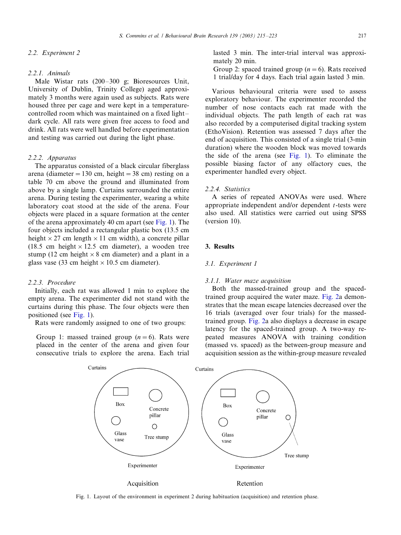# 2.2. Experiment 2

#### 2.2.1. Animals

Male Wistar rats (200-300 g; Bioresources Unit, University of Dublin, Trinity College) aged approximately 3 months were again used as subjects. Rats were housed three per cage and were kept in a temperaturecontrolled room which was maintained on a fixed light-/ dark cycle. All rats were given free access to food and drink. All rats were well handled before experimentation and testing was carried out during the light phase.

# 2.2.2. Apparatus

The apparatus consisted of a black circular fiberglass arena (diameter = 130 cm, height = 38 cm) resting on a table 70 cm above the ground and illuminated from above by a single lamp. Curtains surrounded the entire arena. During testing the experimenter, wearing a white laboratory coat stood at the side of the arena. Four objects were placed in a square formation at the center of the arena approximately 40 cm apart (see Fig. 1). The four objects included a rectangular plastic box (13.5 cm height  $\times$  27 cm length  $\times$  11 cm width), a concrete pillar (18.5 cm height  $\times$  12.5 cm diameter), a wooden tree stump (12 cm height  $\times$  8 cm diameter) and a plant in a glass vase (33 cm height  $\times$  10.5 cm diameter).

# 2.2.3. Procedure

Initially, each rat was allowed 1 min to explore the empty arena. The experimenter did not stand with the curtains during this phase. The four objects were then positioned (see Fig. 1).

Rats were randomly assigned to one of two groups:

Group 1: massed trained group  $(n=6)$ . Rats were placed in the center of the arena and given four consecutive trials to explore the arena. Each trial lasted 3 min. The inter-trial interval was approximately 20 min.

Group 2: spaced trained group  $(n=6)$ . Rats received 1 trial/day for 4 days. Each trial again lasted 3 min.

Various behavioural criteria were used to assess exploratory behaviour. The experimenter recorded the number of nose contacts each rat made with the individual objects. The path length of each rat was also recorded by a computerised digital tracking system (EthoVision). Retention was assessed 7 days after the end of acquisition. This consisted of a single trial (3-min duration) where the wooden block was moved towards the side of the arena (see Fig. 1). To eliminate the possible biasing factor of any olfactory cues, the experimenter handled every object.

# 2.2.4. Statistics

A series of repeated ANOVAs were used. Where appropriate independent and/or dependent  $t$ -tests were also used. All statistics were carried out using SPSS (version 10).

# 3. Results

#### 3.1. Experiment 1

# 3.1.1. Water maze acquisition

Both the massed-trained group and the spacedtrained group acquired the water maze. [Fig. 2](#page-3-0)a demonstrates that the mean escape latencies decreased over the 16 trials (averaged over four trials) for the massedtrained group. [Fig. 2a](#page-3-0) also displays a decrease in escape latency for the spaced-trained group. A two-way repeated measures ANOVA with training condition (massed vs. spaced) as the between-group measure and acquisition session as the within-group measure revealed



Fig. 1. Layout of the environment in experiment 2 during habituation (acquisition) and retention phase.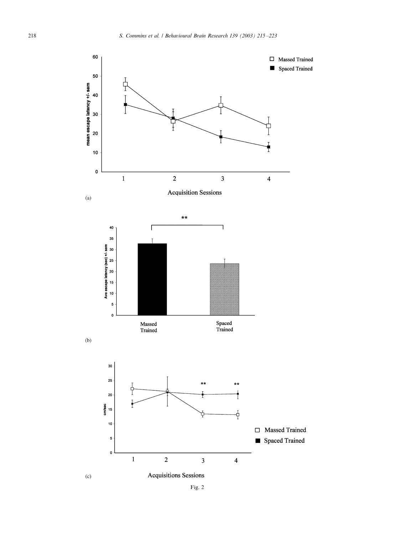<span id="page-3-0"></span>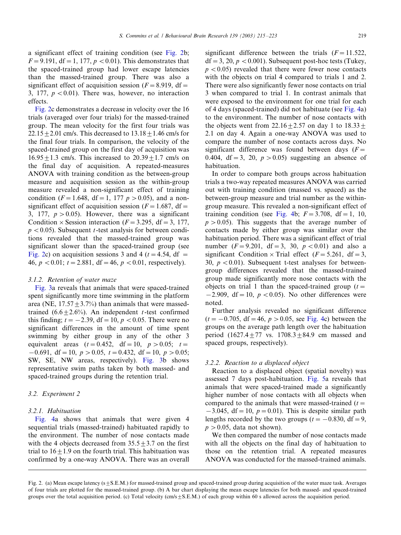a significant effect of training condition (see [Fig. 2b](#page-3-0);  $F = 9.191$ , df = 1, 177,  $p < 0.01$ ). This demonstrates that the spaced-trained group had lower escape latencies than the massed-trained group. There was also a significant effect of acquisition session ( $F = 8.919$ , df = 3, 177,  $p < 0.01$ ). There was, however, no interaction effects.

[Fig. 2](#page-3-0)c demonstrates a decrease in velocity over the 16 trials (averaged over four trials) for the massed-trained group. The mean velocity for the first four trials was  $22.15 + 2.01$  cm/s. This decreased to  $13.18 + 1.46$  cm/s for the final four trials. In comparison, the velocity of the spaced-trained group on the first day of acquisition was  $16.95 + 1.3$  cm/s. This increased to  $20.39 + 1.7$  cm/s on the final day of acquisition. A repeated-measures ANOVA with training condition as the between-group measure and acquisition session as the within-group measure revealed a non-significant effect of training condition ( $F = 1.648$ , df = 1, 177 p > 0.05), and a nonsignificant effect of acquisition session ( $F = 1.687$ , df = 3, 177,  $p > 0.05$ ). However, there was a significant Condition  $\times$  Session interaction (F = 3.295, df = 3, 177,  $p < 0.05$ ). Subsequent t-test analysis for between conditions revealed that the massed-trained group was significant slower than the spaced-trained group (see [Fig. 2](#page-3-0)c) on acquisition sessions 3 and 4 ( $t = 4.54$ , df = 46,  $p < 0.01$ ;  $t = 2.881$ , df = 46,  $p < 0.01$ , respectively).

# 3.1.2. Retention of water maze

[Fig. 3](#page-5-0)a reveals that animals that were spaced-trained spent significantly more time swimming in the platform area (NE,  $17.57 \pm 3.7\%$ ) than animals that were massedtrained  $(6.6+2.6%)$ . An independent t-test confirmed this finding;  $t=-2.39$ , df = 10,  $p < 0.05$ . There were no significant differences in the amount of time spent swimming by either group in any of the other 3 equivalent areas  $(t=0.452, df=10, p > 0.05; t=$  $-0.691$ , df = 10, p > 0.05, t = 0.432, df = 10, p > 0.05; SW, SE, NW areas, respectively). [Fig. 3b](#page-5-0) shows representative swim paths taken by both massed- and spaced-trained groups during the retention trial.

# 3.2. Experiment 2

#### 3.2.1. Habituation

[Fig. 4a](#page-6-0) shows that animals that were given 4 sequential trials (massed-trained) habituated rapidly to the environment. The number of nose contacts made with the 4 objects decreased from  $35.5 \pm 3.7$  on the first trial to  $16+1.9$  on the fourth trial. This habituation was confirmed by a one-way ANOVA. There was an overall

significant difference between the trials  $(F=11.522,$  $df = 3$ , 20,  $p < 0.001$ ). Subsequent post-hoc tests (Tukey,  $p < 0.05$ ) revealed that there were fewer nose contacts with the objects on trial 4 compared to trials 1 and 2. There were also significantly fewer nose contacts on trial 3 when compared to trial 1. In contrast animals that were exposed to the environment for one trial for each of 4 days (spaced-trained) did not habituate (see [Fig. 4a](#page-6-0)) to the environment. The number of nose contacts with the objects went from  $22.16 \pm 2.57$  on day 1 to  $18.33 \pm$ 2.1 on day 4. Again a one-way ANOVA was used to compare the number of nose contacts across days. No significant difference was found between days  $(F =$ 0.404, df = 3, 20,  $p > 0.05$ ) suggesting an absence of habituation.

In order to compare both groups across habituation trials a two-way repeated measures ANOVA was carried out with training condition (massed vs. spaced) as the between-group measure and trial number as the withingroup measure. This revealed a non-significant effect of training condition (see [Fig. 4b](#page-6-0);  $F = 3.708$ , df = 1, 10,  $p > 0.05$ ). This suggests that the average number of contacts made by either group was similar over the habituation period. There was a significant effect of trial number ( $F = 9.201$ , df = 3, 30,  $p < 0.01$ ) and also a significant Condition  $\times$  Trial effect (F = 5.261, df = 3, 30,  $p < 0.01$ ). Subsequent t-test analyses for betweengroup differences revealed that the massed-trained group made significantly more nose contacts with the objects on trial 1 than the spaced-trained group  $(t=$  $-2.909$ , df = 10, p < 0.05). No other differences were noted.

Further analysis revealed no significant difference  $(t=-0.705, df=46, p > 0.05,$  see [Fig. 4](#page-6-0)c) between the groups on the average path length over the habituation period  $(1627.4+77 \text{ vs. } 1708.3+84.9 \text{ cm} \text{ massed and }$ spaced groups, respectively).

# 3.2.2. Reaction to a displaced object

Reaction to a displaced object (spatial novelty) was assessed 7 days post-habituation. [Fig. 5](#page-7-0)a reveals that animals that were spaced-trained made a significantly higher number of nose contacts with all objects when compared to the animals that were massed-trained  $(t=$  $-3.045$ , df = 10, p = 0.01). This is despite similar path lengths recorded by the two groups ( $t=-0.830$ , df = 9,  $p > 0.05$ , data not shown).

We then compared the number of nose contacts made with all the objects on the final day of habituation to those on the retention trial. A repeated measures ANOVA was conducted for the massed-trained animals.

Fig. 2. (a) Mean escape latency  $(s+S.E.M.)$  for massed-trained group and spaced-trained group during acquisition of the water maze task. Averages of four trials are plotted for the massed-trained group. (b) A bar chart displaying the mean escape latencies for both massed- and spaced-trained groups over the total acquisition period. (c) Total velocity (cm/s $\pm$ S.E.M.) of each group within 60 s allowed across the acquisition period.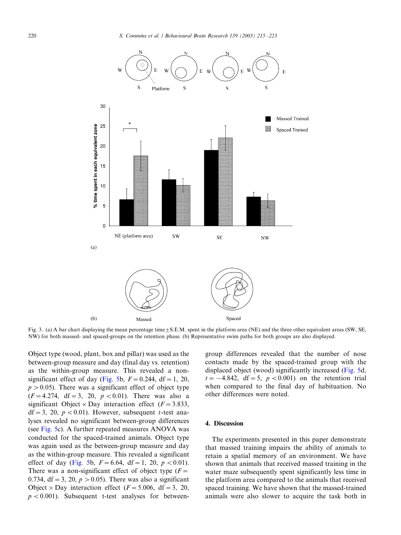<span id="page-5-0"></span>

Fig. 3. (a) A bar chart displaying the mean percentage time  $\pm$  S.E.M. spent in the platform area (NE) and the three other equivalent areas (SW, SE, NW) for both massed- and spaced-groups on the retention phase. (b) Representative swim paths for both groups are also displayed.

Object type (wood, plant, box and pillar) was used as the between-group measure and day (final day vs. retention) as the within-group measure. This revealed a non-significant effect of day ([Fig. 5b](#page-7-0),  $F = 0.244$ , df = 1, 20,  $p > 0.05$ ). There was a significant effect of object type  $(F=4.274, df=3, 20, p < 0.01)$ . There was also a significant Object  $\times$  Day interaction effect ( $F = 3.833$ ,  $df = 3$ , 20, p < 0.01). However, subsequent t-test analyses revealed no significant between-group differences (see [Fig. 5c](#page-7-0)). A further repeated measures ANOVA was conducted for the spaced-trained animals. Object type was again used as the between-group measure and day as the within-group measure. This revealed a significant effect of day ([Fig. 5b](#page-7-0),  $F = 6.64$ , df = 1, 20, p < 0.01). There was a non-significant effect of object type  $(F =$ 0.734, df = 3, 20,  $p > 0.05$ ). There was also a significant Object  $\times$  Day interaction effect (F = 5.006, df = 3, 20,  $p < 0.001$ ). Subsequent t-test analyses for between-

group differences revealed that the number of nose contacts made by the spaced-trained group with the displaced object (wood) significantly increased ([Fig. 5d](#page-7-0),  $t=-4.842$ , df = 5, p < 0.001) on the retention trial when compared to the final day of habituation. No other differences were noted.

## 4. Discussion

The experiments presented in this paper demonstrate that massed training impairs the ability of animals to retain a spatial memory of an environment. We have shown that animals that received massed training in the water maze subsequently spent significantly less time in the platform area compared to the animals that received spaced training. We have shown that the massed-trained animals were also slower to acquire the task both in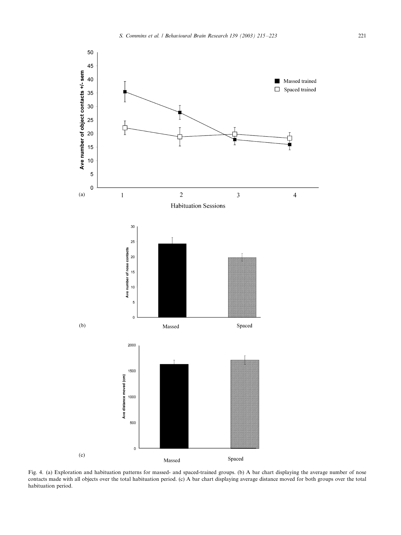<span id="page-6-0"></span>

Fig. 4. (a) Exploration and habituation patterns for massed- and spaced-trained groups. (b) A bar chart displaying the average number of nose contacts made with all objects over the total habituation period. (c) A bar chart displaying average distance moved for both groups over the total habituation period.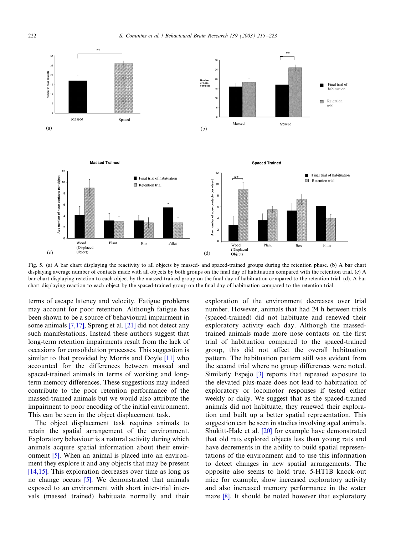<span id="page-7-0"></span>

Fig. 5. (a) A bar chart displaying the reactivity to all objects by massed- and spaced-trained groups during the retention phase. (b) A bar chart displaying average number of contacts made with all objects by both groups on the final day of habituation compared with the retention trial. (c) A bar chart displaying reaction to each object by the massed-trained group on the final day of habituation compared to the retention trial. (d). A bar chart displaying reaction to each object by the spaced-trained group on the final day of habituation compared to the retention trial.

terms of escape latency and velocity. Fatigue problems may account for poor retention. Although fatigue has been shown to be a source of behavioural impairment in some animals [\[7,17\]](#page-8-0), Spreng et al. [\[21\]](#page-8-0) did not detect any such manifestations. Instead these authors suggest that long-term retention impairments result from the lack of occasions for consolidation processes. This suggestion is similar to that provided by Morris and Doyle [\[11\]](#page-8-0) who accounted for the differences between massed and spaced-trained animals in terms of working and longterm memory differences. These suggestions may indeed contribute to the poor retention performance of the massed-trained animals but we would also attribute the impairment to poor encoding of the initial environment. This can be seen in the object displacement task.

The object displacement task requires animals to retain the spatial arrangement of the environment. Exploratory behaviour is a natural activity during which animals acquire spatial information about their environment [\[5\]](#page-8-0). When an animal is placed into an environment they explore it and any objects that may be present [\[14,15\].](#page-8-0) This exploration decreases over time as long as no change occurs [\[5\]](#page-8-0). We demonstrated that animals exposed to an environment with short inter-trial intervals (massed trained) habituate normally and their exploration of the environment decreases over trial number. However, animals that had 24 h between trials (spaced-trained) did not habituate and renewed their exploratory activity each day. Although the massedtrained animals made more nose contacts on the first trial of habituation compared to the spaced-trained group, this did not affect the overall habituation pattern. The habituation pattern still was evident from the second trial where no group differences were noted. Similarly Espejo [\[3\]](#page-8-0) reports that repeated exposure to the elevated plus-maze does not lead to habituation of exploratory or locomotor responses if tested either weekly or daily. We suggest that as the spaced-trained animals did not habituate, they renewed their exploration and built up a better spatial representation. This suggestion can be seen in studies involving aged animals. Shukitt-Hale et al. [\[20\]](#page-8-0) for example have demonstrated that old rats explored objects less than young rats and have decrements in the ability to build spatial representations of the environment and to use this information to detect changes in new spatial arrangements. The opposite also seems to hold true. 5-HT1B knock-out mice for example, show increased exploratory activity and also increased memory performance in the water maze [\[8\]](#page-8-0). It should be noted however that exploratory